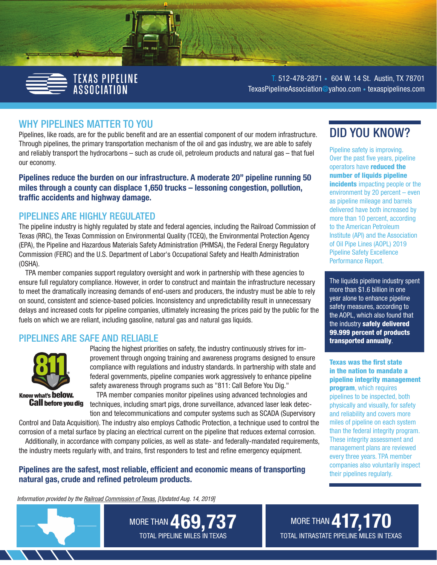

T. 512-478-2871 • 604 W. 14 St. Austin, TX 78701 [TexasPipelineAssociation@yahoo.com](mailto:TexasPipelineAssociation%40yahoo.com?subject=) • [texaspipelines.com](http://texaspipelines.com)

### WHY PIPELINES MATTER TO YOU

Pipelines, like roads, are for the public benefit and are an essential component of our modern infrastructure. Through pipelines, the primary transportation mechanism of the oil and gas industry, we are able to safely and reliably transport the hydrocarbons – such as crude oil, petroleum products and natural gas – that fuel our economy.

Pipelines reduce the burden on our infrastructure. A moderate 20" pipeline running 50 miles through a county can displace 1,650 trucks – lessoning congestion, pollution, traffic accidents and highway damage.

### PIPELINES ARE HIGHLY REGULATED

The pipeline industry is highly regulated by state and federal agencies, including the Railroad Commission of Texas (RRC), the Texas Commission on Environmental Quality (TCEQ), the Environmental Protection Agency (EPA), the Pipeline and Hazardous Materials Safety Administration (PHMSA), the Federal Energy Regulatory Commission (FERC) and the U.S. Department of Labor's Occupational Safety and Health Administration (OSHA).

TPA member companies support regulatory oversight and work in partnership with these agencies to ensure full regulatory compliance. However, in order to construct and maintain the infrastructure necessary to meet the dramatically increasing demands of end-users and producers, the industry must be able to rely on sound, consistent and science-based policies. Inconsistency and unpredictability result in unnecessary delays and increased costs for pipeline companies, ultimately increasing the prices paid by the public for the fuels on which we are reliant, including gasoline, natural gas and natural gas liquids.

### PIPELINES ARE SAFE AND RELIABLE



Placing the highest priorities on safety, the industry continuously strives for improvement through ongoing training and awareness programs designed to ensure compliance with regulations and industry standards. In partnership with state and federal governments, pipeline companies work aggressively to enhance pipeline safety awareness through programs such as "811: Call Before You Dig."

TPA member companies monitor pipelines using advanced technologies and **Call before you dig.** techniques, including smart pigs, drone surveillance, advanced laser leak detection and telecommunications and computer systems such as SCADA (Supervisory

Control and Data Acquisition). The industry also employs Cathodic Protection, a technique used to control the corrosion of a metal surface by placing an electrical current on the pipeline that reduces external corrosion.

Additionally, in accordance with company policies, as well as state- and federally-mandated requirements, the industry meets regularly with, and trains, first responders to test and refine emergency equipment.

Pipelines are the safest, most reliable, efficient and economic means of transporting natural gas, crude and refined petroleum products.

*Information provided by the [Railroad Commission of Texas,](https://www.rrc.state.tx.us/pipeline-safety/reports/texas-pipeline-system-mileage/) [Updated Aug. 14, 2019]*

# MORE THAN 469,737 TOTAL PIPELINE MILES IN TEXAS

# DID YOU KNOW?

Pipeline safety is improving. Over the past five years, pipeline operators have reduced the number of liquids pipeline incidents impacting people or the environment by 20 percent – even as pipeline mileage and barrels delivered have both increased by more than 10 percent, according to the American Petroleum Institute (API) and the Association of Oil Pipe Lines (AOPL) 2019 Pipeline Safety Excellence Performance Report.

The liquids pipeline industry spent more than \$1.6 billion in one year alone to enhance pipeline safety measures, according to the AOPL, which also found that the industry safely delivered 99.999 percent of products transported annually.

Texas was the first state in the nation to mandate a pipeline integrity management program, which requires pipelines to be inspected, both physically and visually, for safety and reliability and covers more miles of pipeline on each system than the federal integrity program. These integrity assessment and management plans are reviewed every three years. TPA member companies also voluntarily inspect

their pipelines regularly.

**MORE THAN 417,170** TOTAL INTRASTATE PIPELINE MILES IN TEXAS